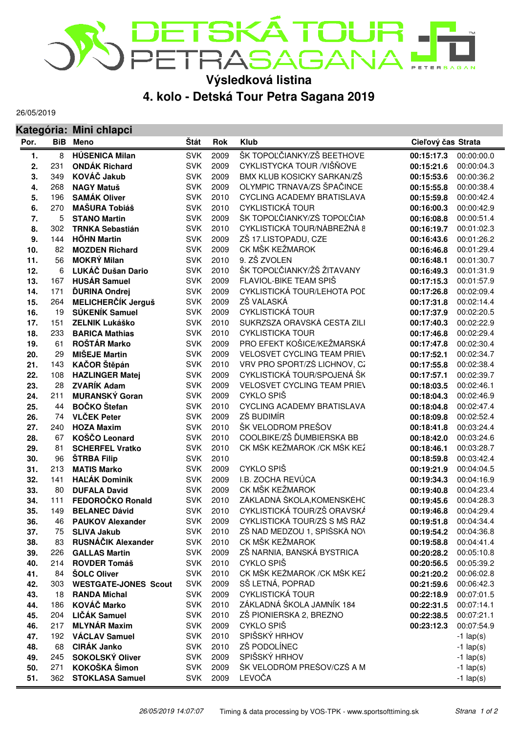

**Výsledková listina**

**4. kolo - Detská Tour Petra Sagana 2019**

26/05/2019

|      |     | Kategória: Mini chlapci     |            |            |                                            |                          |                       |  |
|------|-----|-----------------------------|------------|------------|--------------------------------------------|--------------------------|-----------------------|--|
| Por. |     | <b>BiB</b> Meno             | Štát       | <b>Rok</b> | <b>Klub</b>                                | Cieľový čas Strata       |                       |  |
| 1.   | 8   | <b>HÚSENICA Milan</b>       | <b>SVK</b> | 2009       | ŠK TOPOĽČIANKY/ZŠ BEETHOVE                 | 00:15:17.3               | 00:00:00.0            |  |
| 2.   | 231 | <b>ONDÁK Richard</b>        | <b>SVK</b> | 2009       | CYKLISTYCKA TOUR /VIŠŇOVE                  | 00:00:04.3<br>00:15:21.6 |                       |  |
| 3.   | 349 | KOVÁČ Jakub                 | <b>SVK</b> | 2009       | BMX KLUB KOSICKY SARKAN/ZŠ                 | 00:15:53.6<br>00:00:36.2 |                       |  |
| 4.   | 268 | <b>NAGY Matuš</b>           | <b>SVK</b> | 2009       | OLYMPIC TRNAVA/ZS ŠPAČINCE                 | 00:00:38.4<br>00:15:55.8 |                       |  |
| 5.   | 196 | <b>SAMÁK Oliver</b>         | <b>SVK</b> | 2010       | CYCLING ACADEMY BRATISLAVA                 | 00:00:42.4<br>00:15:59.8 |                       |  |
| 6.   | 270 | <b>MAŠURA Tobiáš</b>        | <b>SVK</b> | 2010       | <b>CYKLISTICKÁ TOUR</b>                    | 00:00:42.9<br>00:16:00.3 |                       |  |
| 7.   | 5   | <b>STANO Martin</b>         | <b>SVK</b> | 2009       | ŠK TOPOĽČIANKY/ZŠ TOPOĽČIAN                | 00:00:51.4<br>00:16:08.8 |                       |  |
| 8.   | 302 | <b>TRNKA Sebastián</b>      | <b>SVK</b> | 2010       | CYKLISTICKÁ TOUR/NÁBREŽNÁ 8                | 00:01:02.3<br>00:16:19.7 |                       |  |
| 9.   | 144 | <b>HŐHN Martin</b>          | <b>SVK</b> | 2009       | ZŠ 17.LISTOPADU, CZE                       | 00:01:26.2<br>00:16:43.6 |                       |  |
| 10.  | 82  | <b>MOZDEN Richard</b>       | <b>SVK</b> | 2009       | CK MŠK KEŽMAROK                            | 00:16:46.8               | 00:01:29.4            |  |
| 11.  | 56  | <b>MOKRÝ Milan</b>          | <b>SVK</b> | 2010       | 9. ZŠ ZVOLEN                               | 00:16:48.1               | 00:01:30.7            |  |
| 12.  | 6   | LUKÁČ Dušan Dario           | <b>SVK</b> | 2010       | ŠK TOPOĽČIANKY/ŽŠ ŽITAVANY                 | 00:01:31.9<br>00:16:49.3 |                       |  |
| 13.  | 167 | <b>HUSÁR Samuel</b>         | <b>SVK</b> | 2009       | FLAVIOL-BIKE TEAM SPIŠ                     | 00:01:57.9<br>00:17:15.3 |                       |  |
| 14.  | 171 | <b>ĎURINA Ondrej</b>        | <b>SVK</b> | 2009       | CYKLISTICKÁ TOUR/LEHOTA POL                | 00:02:09.4<br>00:17:26.8 |                       |  |
| 15.  | 264 | MELICHERČÍK Jerguš          | <b>SVK</b> | 2009       | ZŠ VALASKÁ                                 | 00:02:14.4<br>00:17:31.8 |                       |  |
| 16.  | 19  | SÚKENÍK Samuel              | <b>SVK</b> | 2009       | <b>CYKLISTICKÁ TOUR</b>                    | 00:02:20.5<br>00:17:37.9 |                       |  |
| 17.  | 151 | <b>ZELNIK Lukáško</b>       | <b>SVK</b> | 2010       | SUKRZSZA ORAVSKÁ CESTA ZILI                | 00:02:22.9<br>00:17:40.3 |                       |  |
| 18.  | 233 | <b>BARICA Mathias</b>       | <b>SVK</b> | 2010       | <b>CYKLISTICKA TOUR</b>                    | 00:02:29.4<br>00:17:46.8 |                       |  |
| 19.  | 61  | ROŠTÁR Marko                | <b>SVK</b> | 2009       | PRO EFEKT KOŠICE/KEŽMARSKÁ                 | 00:02:30.4<br>00:17:47.8 |                       |  |
| 20.  | 29  | <b>MIŠEJE Martin</b>        | <b>SVK</b> | 2009       | <b>VELOSVET CYCLING TEAM PRIEV</b>         | 00:02:34.7<br>00:17:52.1 |                       |  |
| 21.  | 143 | KAČOR Štěpán                | <b>SVK</b> | 2010       | VRV PRO SPORT/ZŠ LICHNOV, CZ               | 00:02:38.4<br>00:17:55.8 |                       |  |
| 22.  | 108 | <b>HAZLINGER Matej</b>      | <b>SVK</b> | 2009       | CYKLISTICKÁ TOUR/SPOJENÁ ŠK                | 00:02:39.7<br>00:17:57.1 |                       |  |
| 23.  | 28  | <b>ZVARÍK Adam</b>          | <b>SVK</b> | 2009       | <b>VELOSVET CYCLING TEAM PRIEV</b>         | 00:18:03.5               | 00:02:46.1            |  |
| 24.  | 211 | <b>MURANSKÝ Goran</b>       | <b>SVK</b> | 2009       | CYKLO SPIŠ                                 | 00:18:04.3               | 00:02:46.9            |  |
| 25.  | 44  | <b>BOČKO</b> Štefan         | <b>SVK</b> | 2010       | CYCLING ACADEMY BRATISLAVA                 | 00:18:04.8               | 00:02:47.4            |  |
| 26.  | 74  | <b>VLČEK Peter</b>          | <b>SVK</b> | 2009       | ZŚ BUDIMÍR                                 | 00:18:09.8               | 00:02:52.4            |  |
| 27.  | 240 | <b>HOZA Maxim</b>           | <b>SVK</b> | 2010       | ŠK VELODROM PREŠOV                         | 00:18:41.8               | 00:03:24.4            |  |
| 28.  | 67  | KOŠČO Leonard               | <b>SVK</b> | 2010       | COOLBIKE/ZŠ ĎUMBIERSKA BB                  | 00:18:42.0               | 00:03:24.6            |  |
| 29.  | 81  | <b>SCHERFEL Vratko</b>      | <b>SVK</b> | 2010       | CK MŠK KEŽMAROK / CK MŠK KEŽ<br>00:18:46.1 |                          | 00:03:28.7            |  |
| 30.  | 96  | ŠTRBA Filip                 | <b>SVK</b> | 2010       |                                            | 00:03:42.4<br>00:18:59.8 |                       |  |
| 31.  | 213 | <b>MATIS Marko</b>          | <b>SVK</b> | 2009       | CYKLO SPIŠ                                 | 00:04:04.5<br>00:19:21.9 |                       |  |
| 32.  | 141 | <b>HAĽÁK Dominik</b>        | <b>SVK</b> | 2009       | I.B. ZOCHA REVÚCA                          | 00:04:16.9<br>00:19:34.3 |                       |  |
| 33.  | 80  | <b>DUFALA David</b>         | <b>SVK</b> | 2009       | CK MŠK KEŽMAROK                            | 00:04:23.4<br>00:19:40.8 |                       |  |
| 34.  | 111 | FEDOROČKO Ronald            | <b>SVK</b> | 2010       | ZÁKLADNÁ ŠKOLA, KOMENSKÉHC                 | 00:04:28.3<br>00:19:45.6 |                       |  |
| 35.  | 149 | <b>BELANEC Dávid</b>        | <b>SVK</b> | 2010       | CYKLISTICKÁ TOUR/ZŠ ORAVSKÁ                | 00:04:29.4<br>00:19:46.8 |                       |  |
| 36.  | 46  | <b>PAUKOV Alexander</b>     |            | SVK 2009   | CYKLISTICKÁ TOUR/ZŠ S MŠ RÁZ               |                          | 00:19:51.8 00:04:34.4 |  |
| 37.  | 75  | <b>SLIVA Jakub</b>          | <b>SVK</b> | 2010       | ZŠ NAD MEDZOU 1, SPIŠSKÁ NOV               |                          | 00:19:54.2 00:04:36.8 |  |
| 38.  | 83  | RUSNÁČIK Alexander          | <b>SVK</b> | 2010       | CK MŠK KEŽMAROK                            |                          | 00:19:58.8 00:04:41.4 |  |
| 39.  | 226 | <b>GALLAS Martin</b>        | <b>SVK</b> | 2009       | ZŠ NARNIA, BANSKÁ BYSTRICA                 |                          | 00:20:28.2 00:05:10.8 |  |
| 40.  | 214 | <b>ROVDER Tomáš</b>         | <b>SVK</b> | 2010       | CYKLO SPIŠ                                 |                          | 00:20:56.5 00:05:39.2 |  |
| 41.  | 84  | <b>ŠOLC Oliver</b>          | <b>SVK</b> | 2010       | CK MŠK KEŽMAROK / CK MŠK KEŽ               |                          | 00:21:20.2 00:06:02.8 |  |
| 42.  | 303 | <b>WESTGATE-JONES Scout</b> | <b>SVK</b> | 2009       | SŠ LETNÁ, POPRAD                           |                          | 00:21:59.6 00:06:42.3 |  |
| 43.  | 18  | <b>RANDA Michal</b>         | <b>SVK</b> | 2009       | <b>CYKLISTICKÁ TOUR</b>                    | 00:22:18.9 00:07:01.5    |                       |  |
| 44.  | 186 | KOVÁČ Marko                 | <b>SVK</b> | 2010       | ZÁKLADNÁ ŠKOLA JAMNÍK 184                  | 00:22:31.5               | 00:07:14.1            |  |
| 45.  | 204 | LIČÁK Samuel                | <b>SVK</b> | 2010       | ZŠ PIONIERSKA 2, BREZNO                    | 00:22:38.5               | 00:07:21.1            |  |
| 46.  | 217 | <b>MLYNÁR Maxim</b>         | <b>SVK</b> | 2009       | CYKLO SPIŠ                                 | 00:23:12.3<br>00:07:54.9 |                       |  |
| 47.  | 192 | <b>VÁCLAV Samuel</b>        | <b>SVK</b> | 2010       | SPIŠSKÝ HRHOV                              | $-1$ lap(s)              |                       |  |
| 48.  | 68  | <b>CIRÁK Janko</b>          | <b>SVK</b> | 2010       | ZŠ PODOLÍNEC                               | $-1$ lap(s)              |                       |  |
| 49.  | 245 | SOKOLSKÝ Oliver             | <b>SVK</b> | 2009       | SPIŠSKÝ HRHOV                              | $-1$ lap(s)              |                       |  |
| 50.  | 271 | KOKOŠKA Šimon               | <b>SVK</b> | 2009       | ŠK VELODRÓM PREŠOV/CZŠ A M                 | $-1$ lap(s)              |                       |  |
| 51.  |     | 362 STOKLASA Samuel         |            | SVK 2009   | LEVOČA                                     | $-1$ lap(s)              |                       |  |
|      |     |                             |            |            |                                            |                          |                       |  |